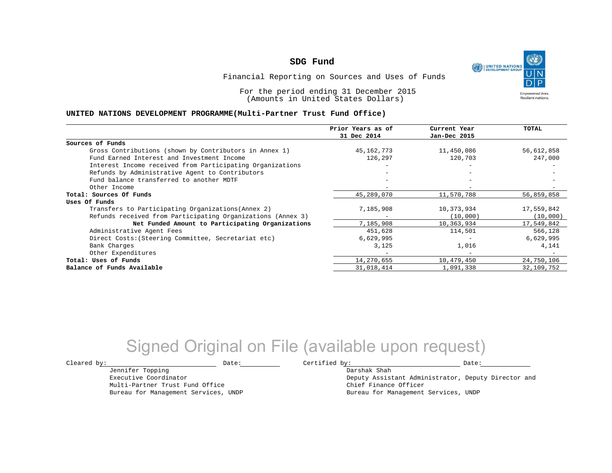UNITED NATIONS **Empowered lives Resilient nations.** 

Financial Reporting on Sources and Uses of Funds

For the period ending 31 December 2015 (Amounts in United States Dollars)

### **UNITED NATIONS DEVELOPMENT PROGRAMME(Multi-Partner Trust Fund Office)**

|                                                             | Prior Years as of | Current Year             | TOTAL      |
|-------------------------------------------------------------|-------------------|--------------------------|------------|
|                                                             | 31 Dec 2014       | Jan-Dec 2015             |            |
| Sources of Funds                                            |                   |                          |            |
| Gross Contributions (shown by Contributors in Annex 1)      | 45,162,773        | 11,450,086               | 56,612,858 |
| Fund Earned Interest and Investment Income                  | 126,297           | 120,703                  | 247,000    |
| Interest Income received from Participating Organizations   |                   |                          |            |
| Refunds by Administrative Agent to Contributors             |                   |                          |            |
| Fund balance transferred to another MDTF                    |                   |                          |            |
| Other Income                                                |                   |                          |            |
| Total: Sources Of Funds                                     | 45,289,070        | 11,570,788               | 56,859,858 |
| Uses Of Funds                                               |                   |                          |            |
| Transfers to Participating Organizations (Annex 2)          | 7,185,908         | 10,373,934               | 17,559,842 |
| Refunds received from Participating Organizations (Annex 3) |                   | (10,000)                 | (10,000)   |
| Net Funded Amount to Participating Organizations            | 7,185,908         | 10,363,934               | 17,549,842 |
| Administrative Agent Fees                                   | 451,628           | 114,501                  | 566,128    |
| Direct Costs: (Steering Committee, Secretariat etc)         | 6,629,995         |                          | 6,629,995  |
| Bank Charges                                                | 3,125             | 1,016                    | 4,141      |
| Other Expenditures                                          |                   | $\overline{\phantom{a}}$ |            |
| Total: Uses of Funds                                        | 14,270,655        | 10,479,450               | 24,750,106 |
| Balance of Funds Available                                  | 31,018,414        | 1,091,338                | 32,109,752 |

# Signed Original on File (available upon request)

 $\texttt{Cleared by:}\footnotesize \begin{minipage}{14pt} \begin{tabular}{p{0.87\textwidth}p{0.87\textwidth}} \centering \end{tabular} \end{minipage}$ 

Darshak Shah Deputy Assistant Administrator, Deputy Director and Chief Finance Officer Bureau for Management Services, UNDP

Jennifer Topping Executive Coordinator Multi-Partner Trust Fund Office Bureau for Management Services, UNDP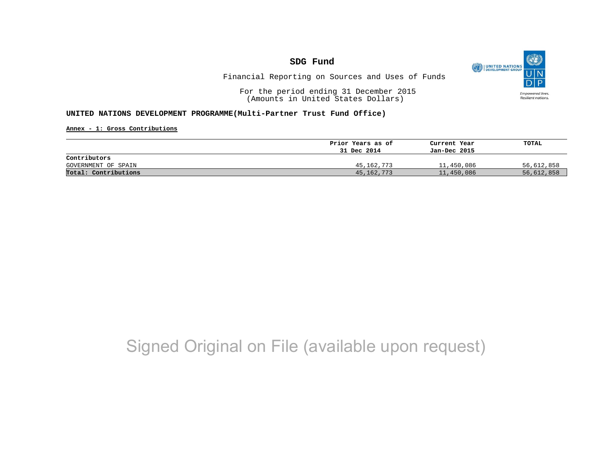O UNITED NATIONS **Empowered lives** Resilient nations.

Financial Reporting on Sources and Uses of Funds

For the period ending 31 December 2015 (Amounts in United States Dollars)

### **UNITED NATIONS DEVELOPMENT PROGRAMME(Multi-Partner Trust Fund Office)**

**Annex - 1: Gross Contributions**

|                      | Prior Years as of | Current Year | TOTAL      |
|----------------------|-------------------|--------------|------------|
|                      | 31 Dec 2014       | Jan-Dec 2015 |            |
| Contributors         |                   |              |            |
| GOVERNMENT OF SPAIN  | 45,162,773        | 11,450,086   | 56,612,858 |
| Total: Contributions | 45, 162, 773      | 11,450,086   | 56,612,858 |

# Signed Original on File (available upon request)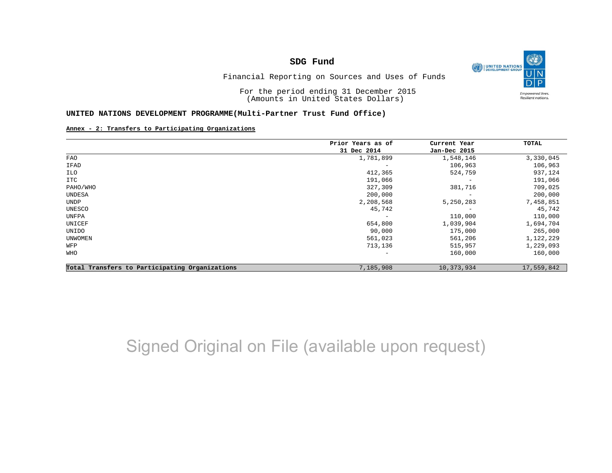O UNITED NATIONS **Empowered lives** Resilient nations.

Financial Reporting on Sources and Uses of Funds

For the period ending 31 December 2015 (Amounts in United States Dollars)

#### **UNITED NATIONS DEVELOPMENT PROGRAMME(Multi-Partner Trust Fund Office)**

#### **Annex - 2: Transfers to Participating Organizations**

|                                                | Prior Years as of | Current Year<br>Jan-Dec 2015 | TOTAL      |
|------------------------------------------------|-------------------|------------------------------|------------|
|                                                | 31 Dec 2014       |                              |            |
| FAO                                            | 1,781,899         | 1,548,146                    | 3,330,045  |
| IFAD                                           |                   | 106,963                      | 106,963    |
| ILO                                            | 412,365           | 524,759                      | 937,124    |
| ITC                                            | 191,066           | $\overline{\phantom{m}}$     | 191,066    |
| PAHO/WHO                                       | 327,309           | 381,716                      | 709,025    |
| UNDESA                                         | 200,000           | $\overline{\phantom{m}}$     | 200,000    |
| UNDP                                           | 2,208,568         | 5,250,283                    | 7,458,851  |
| UNESCO                                         | 45,742            | $\qquad \qquad$              | 45,742     |
| UNFPA                                          | -                 | 110,000                      | 110,000    |
| UNICEF                                         | 654,800           | 1,039,904                    | 1,694,704  |
| UNIDO                                          | 90,000            | 175,000                      | 265,000    |
| <b>UNWOMEN</b>                                 | 561,023           | 561,206                      | 1,122,229  |
| WFP                                            | 713,136           | 515,957                      | 1,229,093  |
| WHO                                            | -                 | 160,000                      | 160,000    |
| Total Transfers to Participating Organizations | 7,185,908         | 10,373,934                   | 17,559,842 |

# Signed Original on File (available upon request)